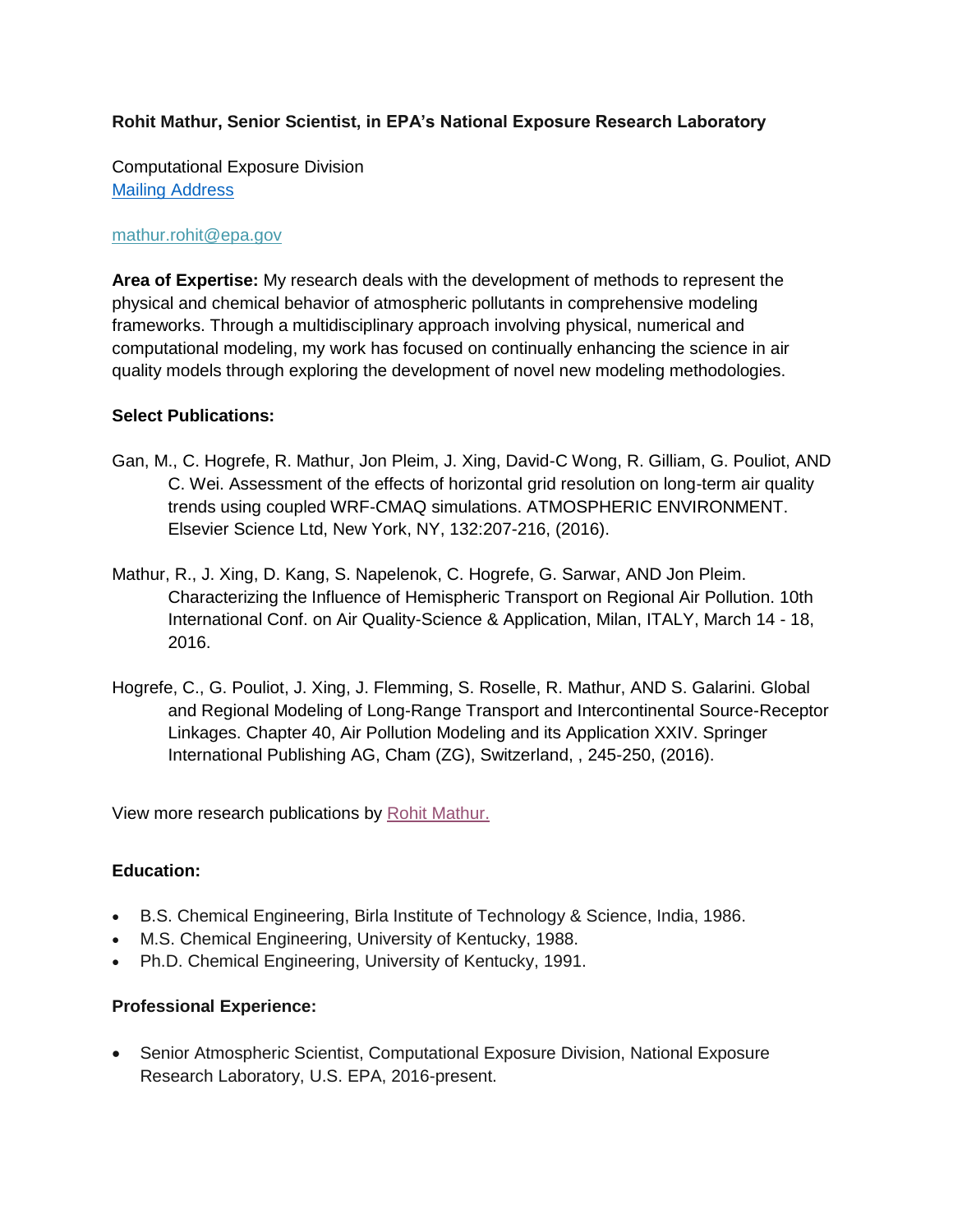# **Rohit Mathur, Senior Scientist, in EPA's National Exposure Research Laboratory**

Computational Exposure Division [Mailing Address](https://wcms.epa.gov/aboutepa/about-national-exposure-research-laboratory-nerl-computational-exposure-division-ced#contact)

### [mathur.rohit@epa.gov](mailto:mathur.rohit@epa.gov)

**Area of Expertise:** My research deals with the development of methods to represent the physical and chemical behavior of atmospheric pollutants in comprehensive modeling frameworks. Through a multidisciplinary approach involving physical, numerical and computational modeling, my work has focused on continually enhancing the science in air quality models through exploring the development of novel new modeling methodologies.

## **Select Publications:**

- Gan, M., C. Hogrefe, R. Mathur, Jon Pleim, J. Xing, David-C Wong, R. Gilliam, G. Pouliot, AND C. Wei. Assessment of the effects of horizontal grid resolution on long-term air quality trends using coupled WRF-CMAQ simulations. ATMOSPHERIC ENVIRONMENT. Elsevier Science Ltd, New York, NY, 132:207-216, (2016).
- Mathur, R., J. Xing, D. Kang, S. Napelenok, C. Hogrefe, G. Sarwar, AND Jon Pleim. Characterizing the Influence of Hemispheric Transport on Regional Air Pollution. 10th International Conf. on Air Quality-Science & Application, Milan, ITALY, March 14 - 18, 2016.
- Hogrefe, C., G. Pouliot, J. Xing, J. Flemming, S. Roselle, R. Mathur, AND S. Galarini. Global and Regional Modeling of Long-Range Transport and Intercontinental Source-Receptor Linkages. Chapter 40, Air Pollution Modeling and its Application XXIV. Springer International Publishing AG, Cham (ZG), Switzerland, , 245-250, (2016)[.](http://cfpub.epa.gov/si/si_lab_search_results.cfm?fed_org_id=770&SIType=PR&TIMSType=&showCriteria=0&address=nerl/pubs.html&view=citation&personID=15120&role=Author&sortBy=pubDateYear&count=100&dateBeginPublishedPresented=)

[View more research publications by Rohit Mathur.](http://cfpub.epa.gov/si/si_lab_search_results.cfm?fed_org_id=770&SIType=PR&TIMSType=&showCriteria=0&address=nerl/pubs.html&view=citation&personID=15120&role=Author&sortBy=pubDateYear&count=100&dateBeginPublishedPresented=)

## **Education:**

- B.S. Chemical Engineering, Birla Institute of Technology & Science, India, 1986.
- M.S. Chemical Engineering, University of Kentucky, 1988.
- Ph.D. Chemical Engineering, University of Kentucky, 1991.

## **Professional Experience:**

 Senior Atmospheric Scientist, Computational Exposure Division, National Exposure Research Laboratory, U.S. EPA, 2016-present.